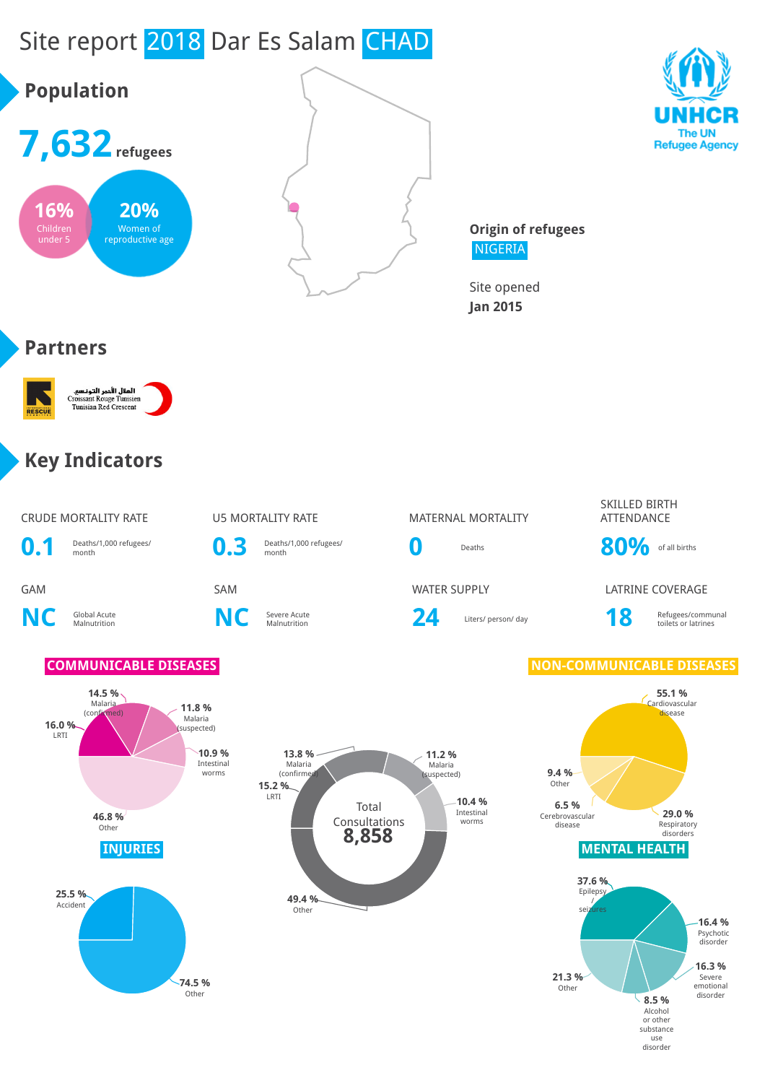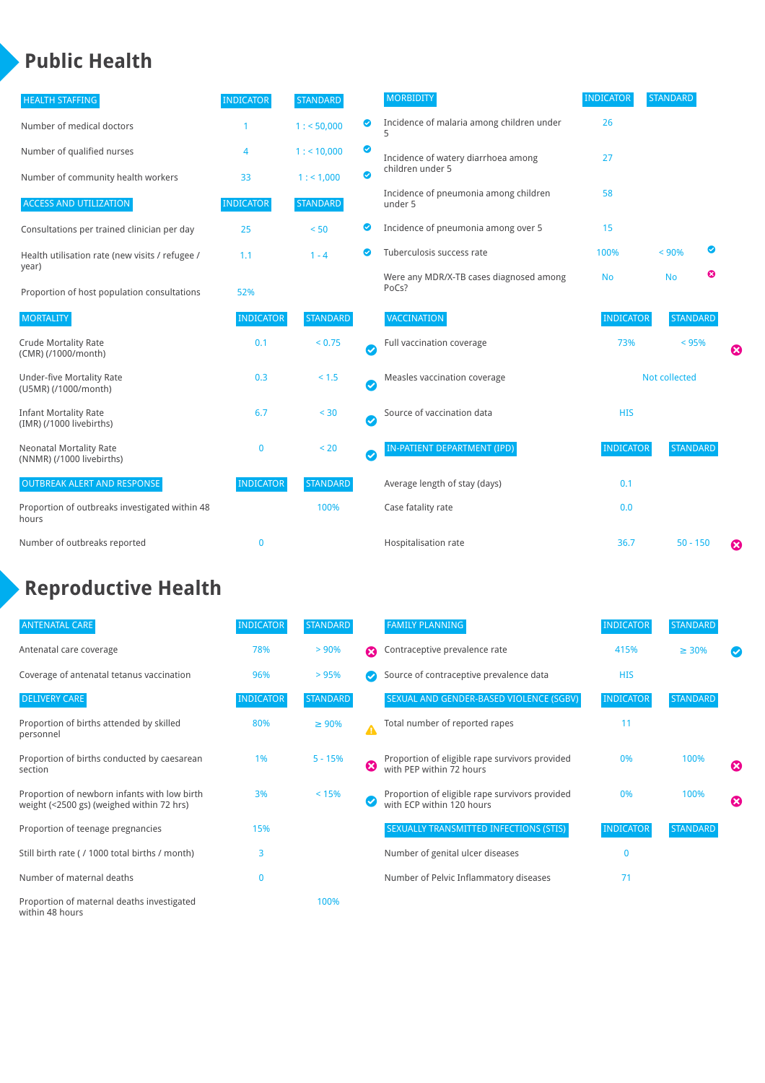### **Public Health**

| <b>HEALTH STAFFING</b>                                      | <b>INDICATOR</b> | <b>STANDARD</b> |                  | <b>MORBIDITY</b>                                 | <b>INDICATOR</b> | <b>STANDARD</b> |   |   |
|-------------------------------------------------------------|------------------|-----------------|------------------|--------------------------------------------------|------------------|-----------------|---|---|
| Number of medical doctors                                   |                  | 1: 50,000       | ◙                | Incidence of malaria among children under        | 26               |                 |   |   |
| Number of qualified nurses                                  | 4                | 1:10,000        | $\bullet$        | Incidence of watery diarrhoea among              | 27               |                 |   |   |
| Number of community health workers                          | 33               | 1: 1,000        | $\bullet$        | children under 5                                 |                  |                 |   |   |
| <b>ACCESS AND UTILIZATION</b>                               | <b>INDICATOR</b> | <b>STANDARD</b> |                  | Incidence of pneumonia among children<br>under 5 | 58               |                 |   |   |
| Consultations per trained clinician per day                 | 25               | < 50            | Ø                | Incidence of pneumonia among over 5              | 15               |                 |   |   |
| Health utilisation rate (new visits / refugee /             | 1.1              | $1 - 4$         | ◙                | Tuberculosis success rate                        | 100%             | < 90%           | ⊘ |   |
| year)<br>Proportion of host population consultations        | 52%              |                 |                  | Were any MDR/X-TB cases diagnosed among<br>PoCs? | <b>No</b>        | <b>No</b>       | ☺ |   |
| <b>MORTALITY</b>                                            | <b>INDICATOR</b> | <b>STANDARD</b> |                  | VACCINATION                                      | <b>INDICATOR</b> | <b>STANDARD</b> |   |   |
| <b>Crude Mortality Rate</b><br>(CMR) (/1000/month)          | 0.1              | < 0.75          | Ø                | Full vaccination coverage                        | 73%              | < 95%           |   | ظ |
| <b>Under-five Mortality Rate</b><br>(U5MR) (/1000/month)    | 0.3              | < 1.5           | $\bm{\bm\omega}$ | Measles vaccination coverage                     | Not collected    |                 |   |   |
| <b>Infant Mortality Rate</b><br>(IMR) (/1000 livebirths)    | 6.7              | $< 30$          | $\bullet$        | Source of vaccination data                       | <b>HIS</b>       |                 |   |   |
| <b>Neonatal Mortality Rate</b><br>(NNMR) (/1000 livebirths) | $\bf{0}$         | < 20            | $\bm{\bm\omega}$ | <b>IN-PATIENT DEPARTMENT (IPD)</b>               | <b>INDICATOR</b> | <b>STANDARD</b> |   |   |
| <b>OUTBREAK ALERT AND RESPONSE</b>                          | <b>INDICATOR</b> | <b>STANDARD</b> |                  | Average length of stay (days)                    | 0.1              |                 |   |   |
| Proportion of outbreaks investigated within 48<br>hours     |                  | 100%            |                  | Case fatality rate                               | 0.0              |                 |   |   |
| Number of outbreaks reported                                | $\bf{0}$         |                 |                  | Hospitalisation rate                             | 36.7             | $50 - 150$      |   | Ø |

# **Reproductive Health**

| <b>ANTENATAL CARE</b>                                                                     | <b>INDICATOR</b> | <b>STANDARD</b> |                       | <b>FAMILY PLANNING</b>                                                      | <b>INDICATOR</b> | <b>STANDARD</b> |                       |
|-------------------------------------------------------------------------------------------|------------------|-----------------|-----------------------|-----------------------------------------------------------------------------|------------------|-----------------|-----------------------|
| Antenatal care coverage                                                                   | 78%              | $> 90\%$        | $\boldsymbol{\Omega}$ | Contraceptive prevalence rate                                               | 415%             | $\geq 30\%$     |                       |
| Coverage of antenatal tetanus vaccination                                                 | 96%              | >95%            |                       | Source of contraceptive prevalence data                                     | <b>HIS</b>       |                 |                       |
| <b>DELIVERY CARE</b>                                                                      | <b>INDICATOR</b> | <b>STANDARD</b> |                       | SEXUAL AND GENDER-BASED VIOLENCE (SGBV)                                     | <b>INDICATOR</b> | <b>STANDARD</b> |                       |
| Proportion of births attended by skilled<br>personnel                                     | 80%              | $\geq 90\%$     |                       | Total number of reported rapes                                              | 11               |                 |                       |
| Proportion of births conducted by caesarean<br>section                                    | 1%               | $5 - 15%$       | ೞ                     | Proportion of eligible rape survivors provided<br>with PEP within 72 hours  | 0%               | 100%            | ೞ                     |
| Proportion of newborn infants with low birth<br>weight (<2500 gs) (weighed within 72 hrs) | 3%               | < 15%           |                       | Proportion of eligible rape survivors provided<br>with ECP within 120 hours | 0%               | 100%            | $\boldsymbol{\Omega}$ |
| Proportion of teenage pregnancies                                                         | 15%              |                 |                       | SEXUALLY TRANSMITTED INFECTIONS (STIS)                                      | <b>INDICATOR</b> | <b>STANDARD</b> |                       |
| Still birth rate (/ 1000 total births / month)                                            | 3                |                 |                       | Number of genital ulcer diseases                                            | $\Omega$         |                 |                       |
| Number of maternal deaths                                                                 | $\mathbf{0}$     |                 |                       | Number of Pelvic Inflammatory diseases                                      | 71               |                 |                       |
| Proportion of maternal deaths investigated<br>within 48 hours                             |                  | 100%            |                       |                                                                             |                  |                 |                       |